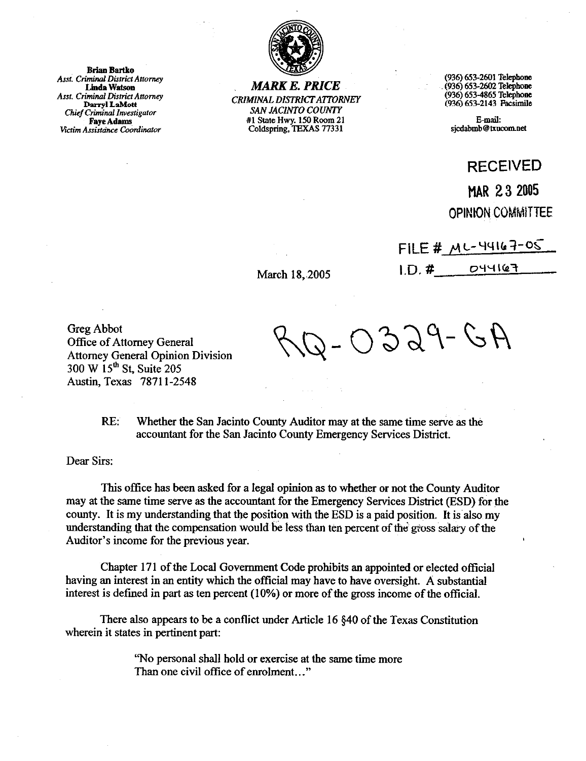

*MARK E. PRICE*  CRIMINAL *DISTRKTAlTORh'EY*  SAN JACINTO COUNTY #l State Hwy. 150 Room 21 cddspring, TEXAS 77331

(936) 653-2601 Telephon (936) 653-2602 Tekphone (936) 653-4865 Telephone (936) 653-2143 Facsimile

&mail: sjcdabmb@txucom.net

RECEIVED

## MAR 23 2005 OPINION COMMITTEE

FILE #  $MC-44167-05$ 044167  $1. D. #$ 

Greg Abbot Office of Attorney General Attorney General Opinion Division 300 W 15" St, Suite 205 Austin, Texas 7871 l-2548

 $0329 - 64$ 

RE< Whether the San Jacinto County Auditor may at the same time serve as the accountant for the San Jacinto County Emergency Services District.

March 18, 2005

Dear Sirs:

This office has been asked for a legal opinion as to whether or not the County Auditor may at the same time serve as the accountant for the Emergency Services District (ESD) for the county. It is my understanding that the position with the ESD is a paid position. It is'also my understanding that the compensation would be less than ten percent of the gross salary of the Auditor's income for the previous year.

Chapter 171 of the Local Government Code prohibits an appointed or elected official having an interest in an entity which the official may have to have oversight. A substantial interest is defined in part as ten percent (10%) or more of the gross income of the official.

There also appears to be a conflict under Article 16 \$40 of the Texas Constitution wherein it states in pertinent part:

> "No personal shall hold or exercise at the same time more Than one civil office of enrolment.. ."

**Brian Bartko** Asst. Criminal District Attorney **Linda Watson Asst. Criminal District Attorney** Darryl LaMott **Chief Criminal Investigator Faye Adams** Victim Assistance Coordinator